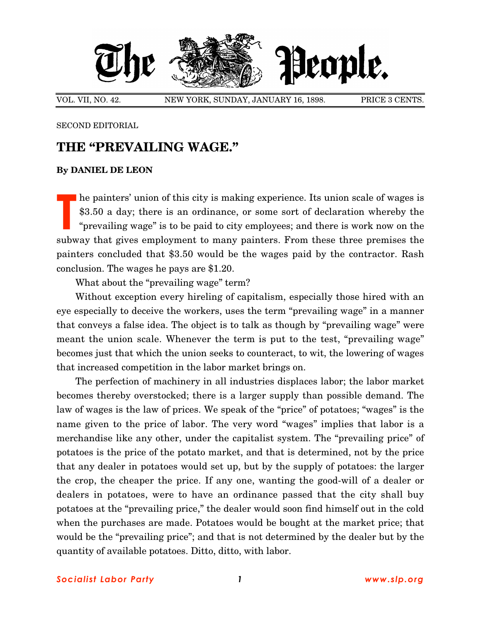

VOL. VII, NO. 42. NEW YORK, SUNDAY, JANUARY 16, 1898. PRICE 3 CENTS.

SECOND EDITORIAL

## **THE "PREVAILING WAGE."**

## **By DANIEL DE LEON**

he painters' union of this city is making experience. Its union scale of wages is \$3.50 a day; there is an ordinance, or some sort of declaration whereby the "prevailing wage" is to be paid to city employees; and there is work now on the subway that gives employment to many painters. From these three premises the painters concluded that \$3.50 would be the wages paid by the contractor. Rash conclusion. The wages he pays are \$1.20. **T**

What about the "prevailing wage" term?

Without exception every hireling of capitalism, especially those hired with an eye especially to deceive the workers, uses the term "prevailing wage" in a manner that conveys a false idea. The object is to talk as though by "prevailing wage" were meant the union scale. Whenever the term is put to the test, "prevailing wage" becomes just that which the union seeks to counteract, to wit, the lowering of wages that increased competition in the labor market brings on.

The perfection of machinery in all industries displaces labor; the labor market becomes thereby overstocked; there is a larger supply than possible demand. The law of wages is the law of prices. We speak of the "price" of potatoes; "wages" is the name given to the price of labor. The very word "wages" implies that labor is a merchandise like any other, under the capitalist system. The "prevailing price" of potatoes is the price of the potato market, and that is determined, not by the price that any dealer in potatoes would set up, but by the supply of potatoes: the larger the crop, the cheaper the price. If any one, wanting the good-will of a dealer or dealers in potatoes, were to have an ordinance passed that the city shall buy potatoes at the "prevailing price," the dealer would soon find himself out in the cold when the purchases are made. Potatoes would be bought at the market price; that would be the "prevailing price"; and that is not determined by the dealer but by the quantity of available potatoes. Ditto, ditto, with labor.